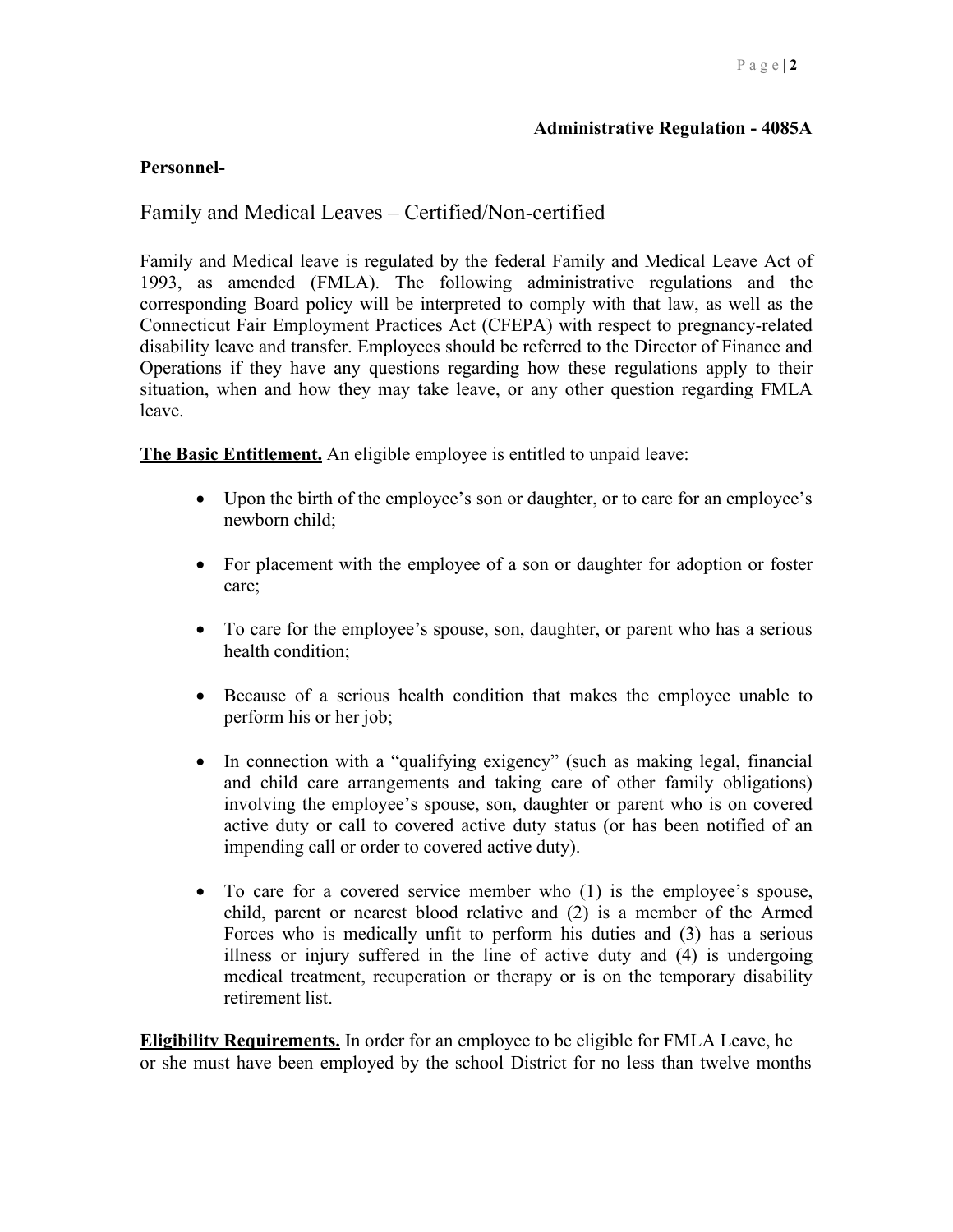### **Administrative Regulation - 4085A**

### **Personnel-**

# Family and Medical Leaves – Certified/Non-certified

Family and Medical leave is regulated by the federal Family and Medical Leave Act of 1993, as amended (FMLA). The following administrative regulations and the corresponding Board policy will be interpreted to comply with that law, as well as the Connecticut Fair Employment Practices Act (CFEPA) with respect to pregnancy-related disability leave and transfer. Employees should be referred to the Director of Finance and Operations if they have any questions regarding how these regulations apply to their situation, when and how they may take leave, or any other question regarding FMLA leave.

**The Basic Entitlement.** An eligible employee is entitled to unpaid leave:

- • Upon the birth of the employee's son or daughter, or to care for an employee's newborn child;
- • For placement with the employee of a son or daughter for adoption or foster care;
- health condition; • To care for the employee's spouse, son, daughter, or parent who has a serious
- perform his or her job; • Because of a serious health condition that makes the employee unable to
- and child care arrangements and taking care of other family obligations) impending call or order to covered active duty). • In connection with a "qualifying exigency" (such as making legal, financial involving the employee's spouse, son, daughter or parent who is on covered active duty or call to covered active duty status (or has been notified of an
- To care for a covered service member who (1) is the employee's spouse, • To care for a covered service member who (1) is the employee's spouse, child, parent or nearest blood relative and (2) is a member of the Armed retirement list. Forces who is medically unfit to perform his duties and (3) has a serious illness or injury suffered in the line of active duty and (4) is undergoing medical treatment, recuperation or therapy or is on the temporary disability

 or she must have been employed by the school District for no less than twelve months **Eligibility Requirements.** In order for an employee to be eligible for FMLA Leave, he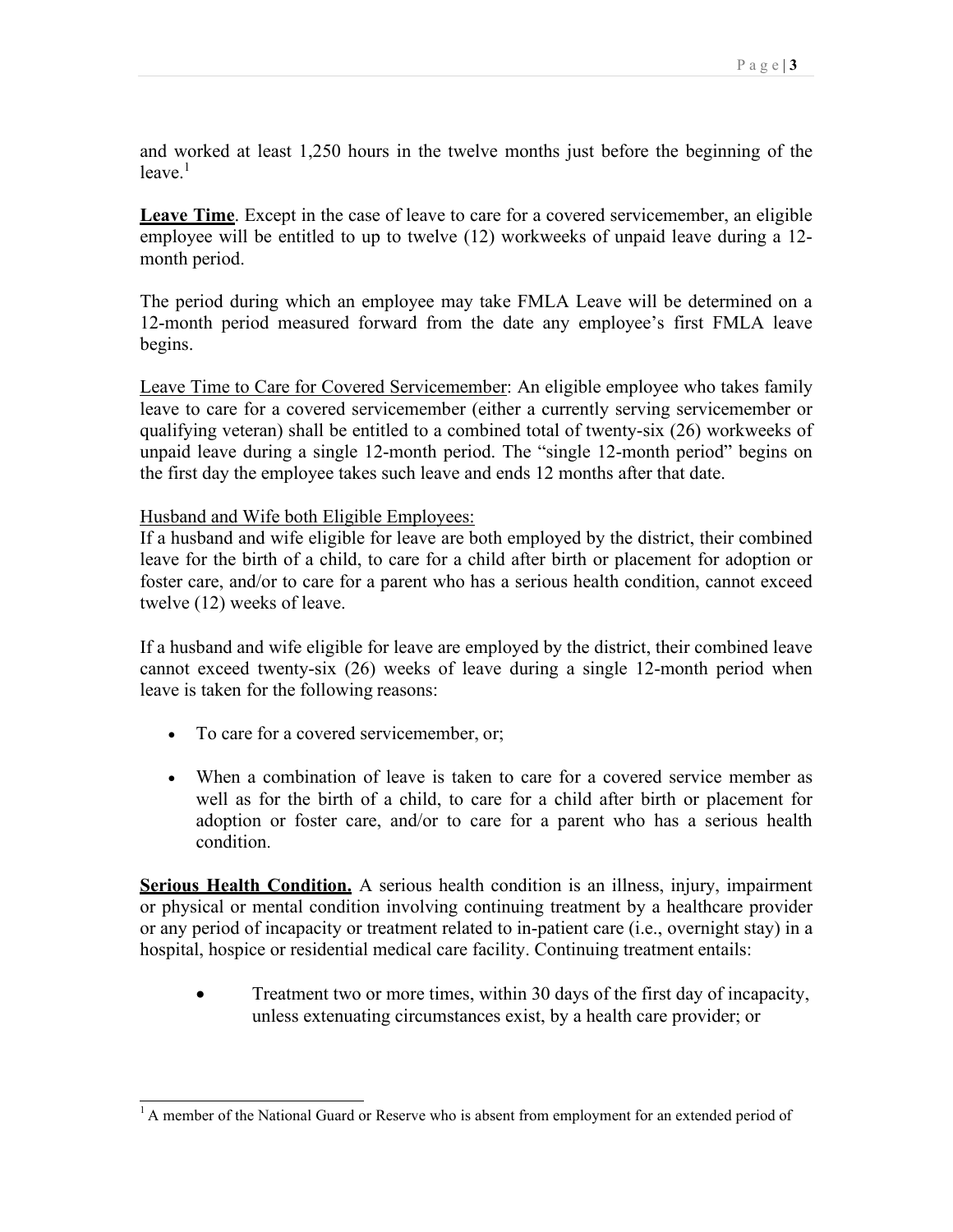and worked at least 1,250 hours in the twelve months just before the beginning of the  $leave<sup>1</sup>$ 

 employee will be entitled to up to twelve (12) workweeks of unpaid leave during a 12- **Leave Time**. Except in the case of leave to care for a covered servicemember, an eligible month period.

 The period during which an employee may take FMLA Leave will be determined on a 12-month period measured forward from the date any employee's first FMLA leave begins.

 the first day the employee takes such leave and ends 12 months after that date. Leave Time to Care for Covered Servicemember: An eligible employee who takes family leave to care for a covered servicemember (either a currently serving servicemember or qualifying veteran) shall be entitled to a combined total of twenty-six (26) workweeks of unpaid leave during a single 12-month period. The "single 12-month period" begins on

Husband and Wife both Eligible Employees:

If a husband and wife eligible for leave are both employed by the district, their combined leave for the birth of a child, to care for a child after birth or placement for adoption or foster care, and/or to care for a parent who has a serious health condition, cannot exceed twelve (12) weeks of leave.

 If a husband and wife eligible for leave are employed by the district, their combined leave leave is taken for the following reasons: cannot exceed twenty-six (26) weeks of leave during a single 12-month period when

- To care for a covered servicemember, or;
- When a combination of leave is taken to care for a covered service member as well as for the birth of a child, to care for a child after birth or placement for adoption or foster care, and/or to care for a parent who has a serious health condition.

 hospital, hospice or residential medical care facility. Continuing treatment entails: **Serious Health Condition.** A serious health condition is an illness, injury, impairment or physical or mental condition involving continuing treatment by a healthcare provider or any period of incapacity or treatment related to in-patient care (i.e., overnight stay) in a

 unless extenuating circumstances exist, by a health care provider; or • Treatment two or more times, within 30 days of the first day of incapacity,

 $<sup>1</sup>$  A member of the National Guard or Reserve who is absent from employment for an extended period of</sup>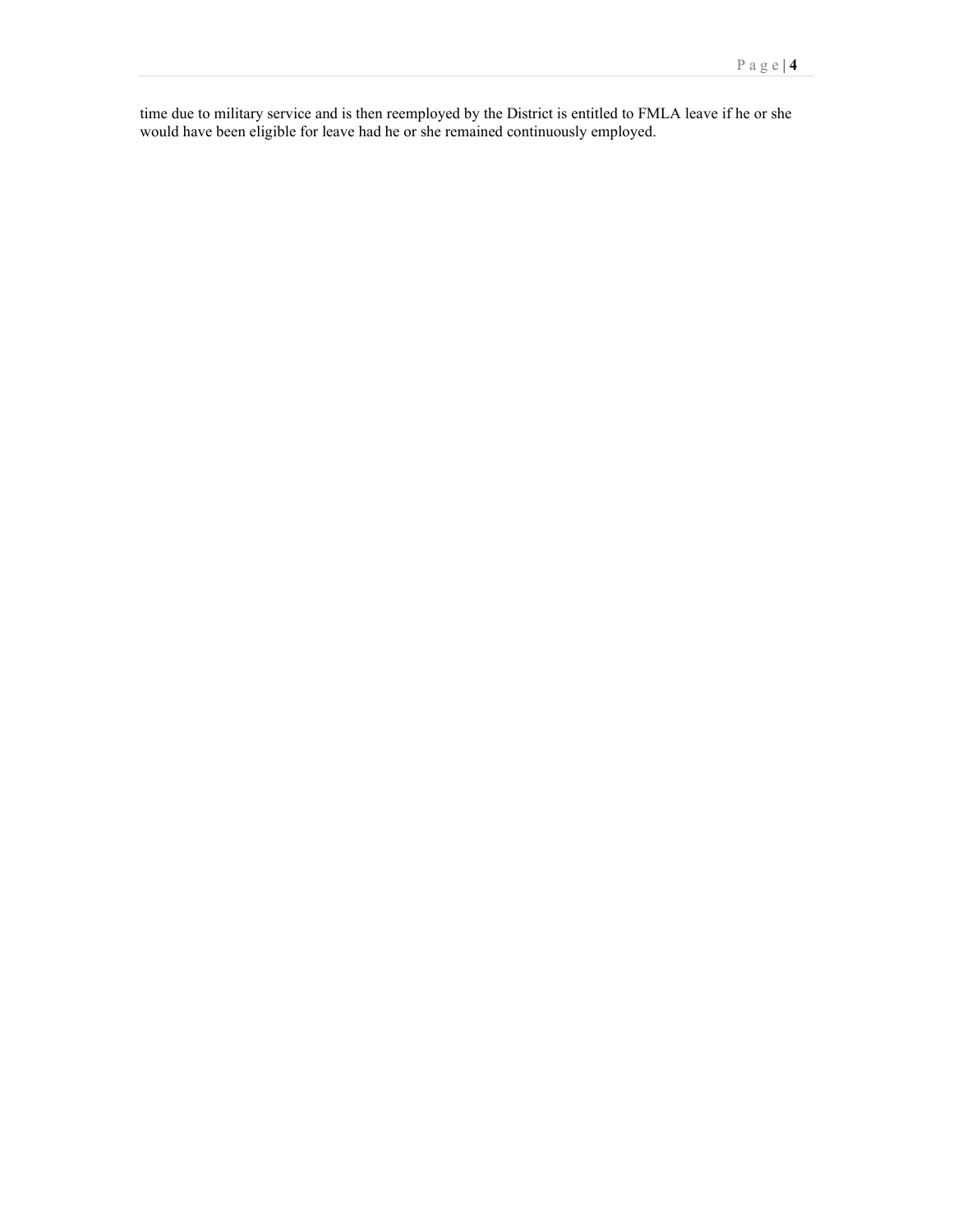time due to military service and is then reemployed by the District is entitled to FMLA leave if he or she would have been eligible for leave had he or she remained continuously employed.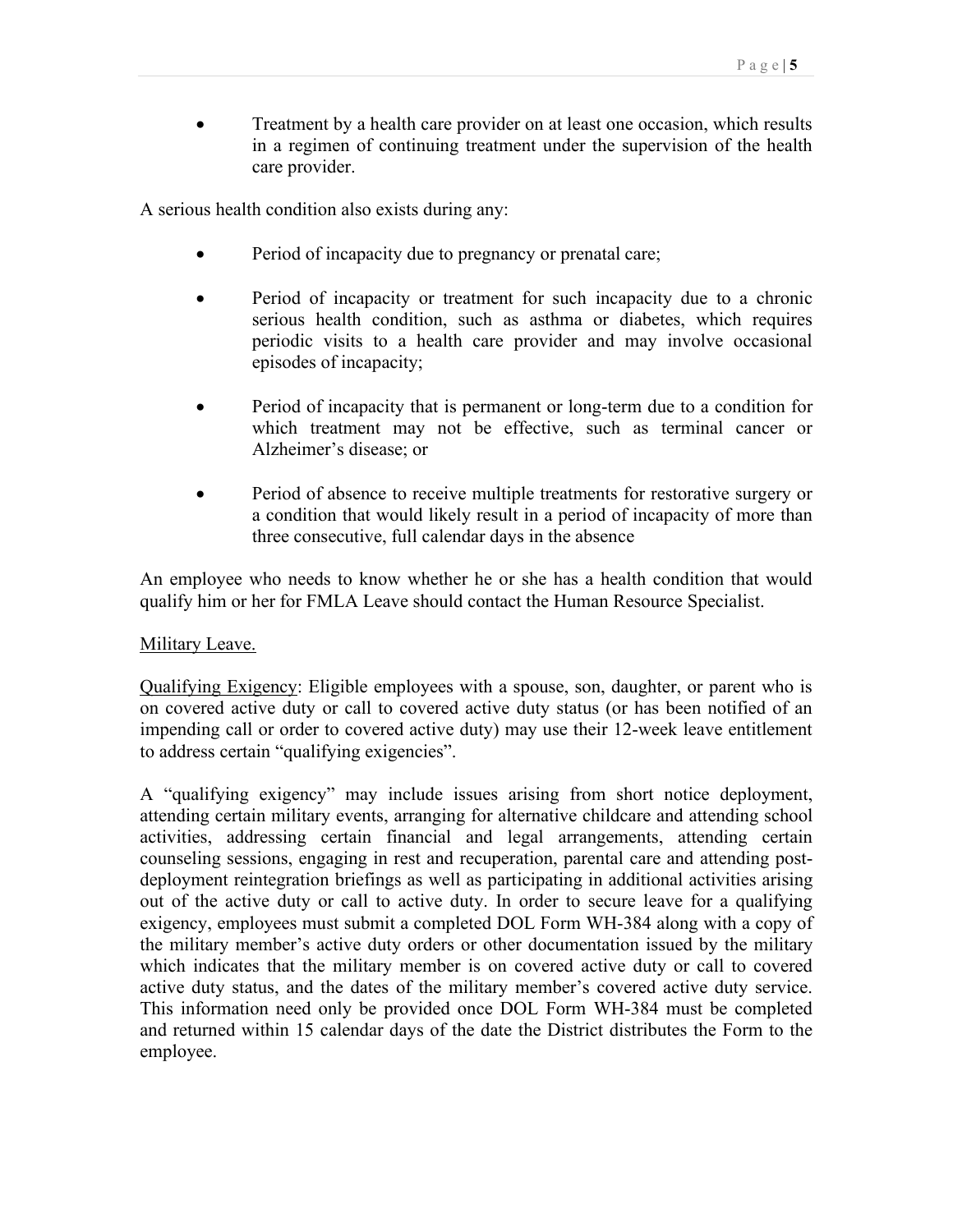Treatment by a health care provider on at least one occasion, which results in a regimen of continuing treatment under the supervision of the health care provider.

A serious health condition also exists during any:

- Period of incapacity due to pregnancy or prenatal care;
- • Period of incapacity or treatment for such incapacity due to a chronic serious health condition, such as asthma or diabetes, which requires periodic visits to a health care provider and may involve occasional episodes of incapacity;
- Alzheimer's disease; or • Period of incapacity that is permanent or long-term due to a condition for which treatment may not be effective, such as terminal cancer or
- three consecutive, full calendar days in the absence • Period of absence to receive multiple treatments for restorative surgery or a condition that would likely result in a period of incapacity of more than

 qualify him or her for FMLA Leave should contact the Human Resource Specialist. An employee who needs to know whether he or she has a health condition that would

#### Military Leave.

Qualifying Exigency: Eligible employees with a spouse, son, daughter, or parent who is on covered active duty or call to covered active duty status (or has been notified of an impending call or order to covered active duty) may use their 12-week leave entitlement to address certain "qualifying exigencies".

 counseling sessions, engaging in rest and recuperation, parental care and attending post- which indicates that the military member is on covered active duty or call to covered This information need only be provided once DOL Form WH-384 must be completed A "qualifying exigency" may include issues arising from short notice deployment, attending certain military events, arranging for alternative childcare and attending school activities, addressing certain financial and legal arrangements, attending certain deployment reintegration briefings as well as participating in additional activities arising out of the active duty or call to active duty. In order to secure leave for a qualifying exigency, employees must submit a completed DOL Form WH-384 along with a copy of the military member's active duty orders or other documentation issued by the military active duty status, and the dates of the military member's covered active duty service. and returned within 15 calendar days of the date the District distributes the Form to the employee.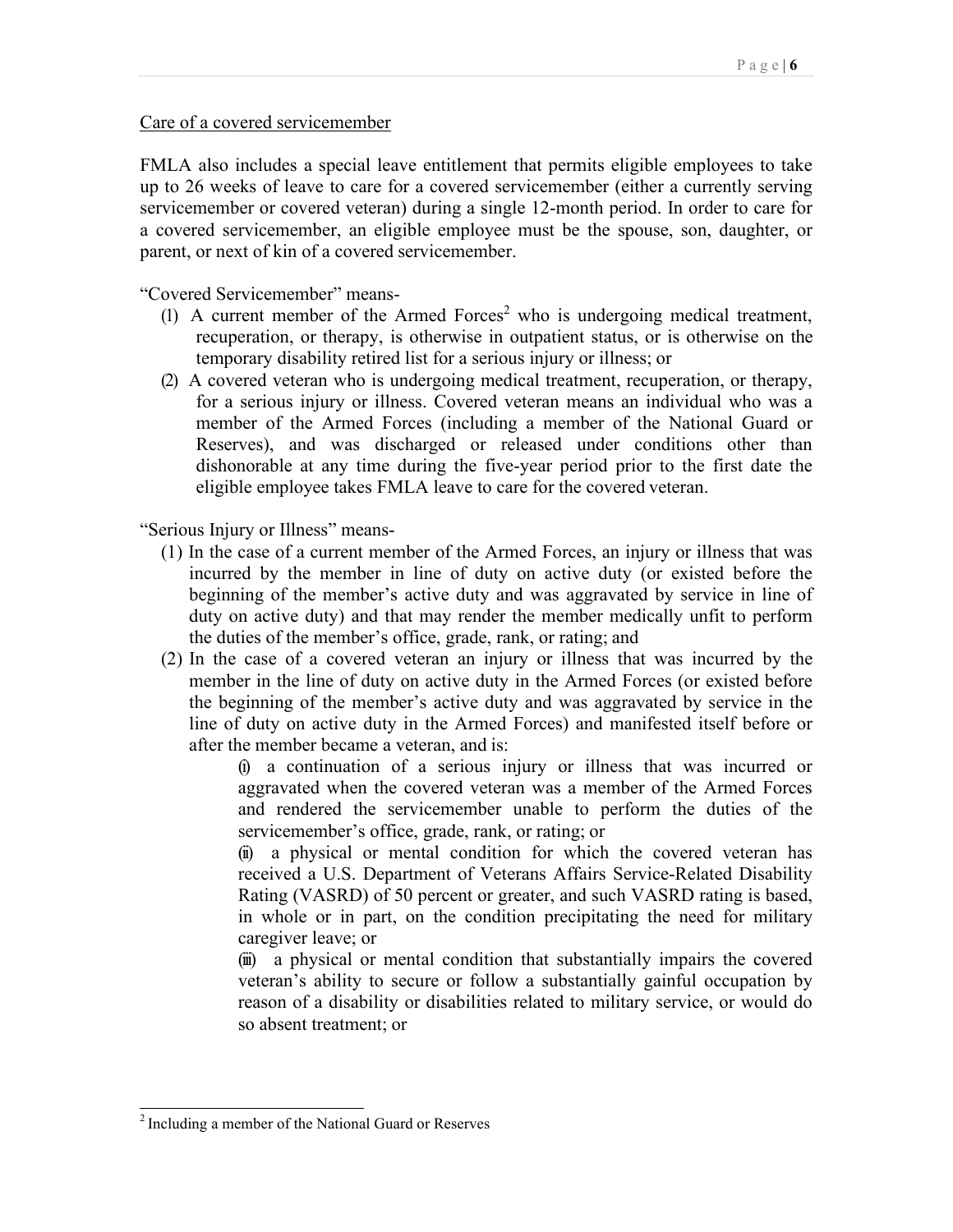Care of a covered servicemember

FMLA also includes a special leave entitlement that permits eligible employees to take FMLA also includes a special leave entitlement that permits eligible employees to take up to 26 weeks of leave to care for a covered servicemember (either a currently serving servicemember or covered veteran) during a single 12-month period. In order to care for a covered servicemember, an eligible employee must be the spouse, son, daughter, or parent, or next of kin of a covered servicemember.

"Covered Servicemember" means-

- temporary disability retired list for a serious injury or illness; or (1) A current member of the Armed Forces<sup>2</sup> who is undergoing medical treatment, recuperation, or therapy, is otherwise in outpatient status, or is otherwise on the
- (2) A covered veteran who is undergoing medical treatment, recuperation, or therapy, eligible employee takes FMLA leave to care for the covered veteran. for a serious injury or illness. Covered veteran means an individual who was a member of the Armed Forces (including a member of the National Guard or Reserves), and was discharged or released under conditions other than dishonorable at any time during the five-year period prior to the first date the

"Serious Injury or Illness" means-

- the duties of the member's office, grade, rank, or rating; and (1) In the case of a current member of the Armed Forces, an injury or illness that was incurred by the member in line of duty on active duty (or existed before the beginning of the member's active duty and was aggravated by service in line of duty on active duty) and that may render the member medically unfit to perform
- after the member became a veteran, and is: (2) In the case of a covered veteran an injury or illness that was incurred by the member in the line of duty on active duty in the Armed Forces (or existed before the beginning of the member's active duty and was aggravated by service in the line of duty on active duty in the Armed Forces) and manifested itself before or

 aggravated when the covered veteran was a member of the Armed Forces servicemember's office, grade, rank, or rating; or (i) a continuation of a serious injury or illness that was incurred or and rendered the servicemember unable to perform the duties of the

 received a U.S. Department of Veterans Affairs Service-Related Disability caregiver leave; or (ii) a physical or mental condition for which the covered veteran has Rating (VASRD) of 50 percent or greater, and such VASRD rating is based, in whole or in part, on the condition precipitating the need for military

 veteran's ability to secure or follow a substantially gainful occupation by so absent treatment; or (iii) a physical or mental condition that substantially impairs the covered reason of a disability or disabilities related to military service, or would do

<sup>2</sup> Including a member of the National Guard or Reserves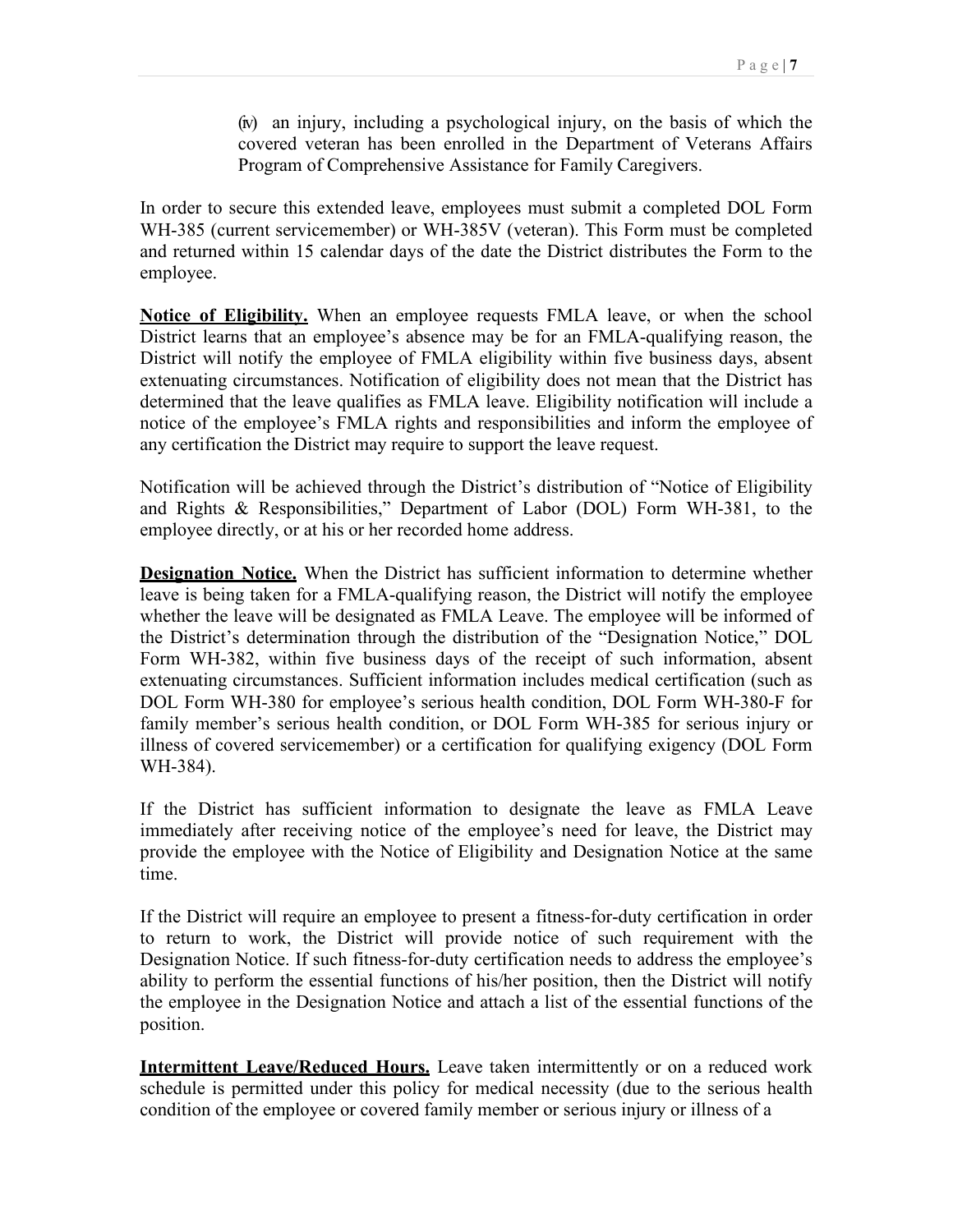covered veteran has been enrolled in the Department of Veterans Affairs Program of Comprehensive Assistance for Family Caregivers. (iv) an injury, including a psychological injury, on the basis of which the

 In order to secure this extended leave, employees must submit a completed DOL Form WH-385 (current servicemember) or WH-385V (veteran). This Form must be completed and returned within 15 calendar days of the date the District distributes the Form to the employee.

 District learns that an employee's absence may be for an FMLA-qualifying reason, the any certification the District may require to support the leave request. **Notice of Eligibility.** When an employee requests FMLA leave, or when the school District will notify the employee of FMLA eligibility within five business days, absent extenuating circumstances. Notification of eligibility does not mean that the District has determined that the leave qualifies as FMLA leave. Eligibility notification will include a notice of the employee's FMLA rights and responsibilities and inform the employee of

 and Rights & Responsibilities," Department of Labor (DOL) Form WH-381, to the Notification will be achieved through the District's distribution of "Notice of Eligibility employee directly, or at his or her recorded home address.

 leave is being taken for a FMLA-qualifying reason, the District will notify the employee the District's determination through the distribution of the "Designation Notice," DOL DOL Form WH-380 for employee's serious health condition, DOL Form WH-380-F for **Designation Notice.** When the District has sufficient information to determine whether whether the leave will be designated as FMLA Leave. The employee will be informed of Form WH-382, within five business days of the receipt of such information, absent extenuating circumstances. Sufficient information includes medical certification (such as family member's serious health condition, or DOL Form WH-385 for serious injury or illness of covered servicemember) or a certification for qualifying exigency (DOL Form WH-384).

If the District has sufficient information to designate the leave as FMLA Leave immediately after receiving notice of the employee's need for leave, the District may provide the employee with the Notice of Eligibility and Designation Notice at the same time.

If the District will require an employee to present a fitness-for-duty certification in order to return to work, the District will provide notice of such requirement with the Designation Notice. If such fitness-for-duty certification needs to address the employee's ability to perform the essential functions of his/her position, then the District will notify the employee in the Designation Notice and attach a list of the essential functions of the position.

**Intermittent Leave/Reduced Hours.** Leave taken intermittently or on a reduced work schedule is permitted under this policy for medical necessity (due to the serious health condition of the employee or covered family member or serious injury or illness of a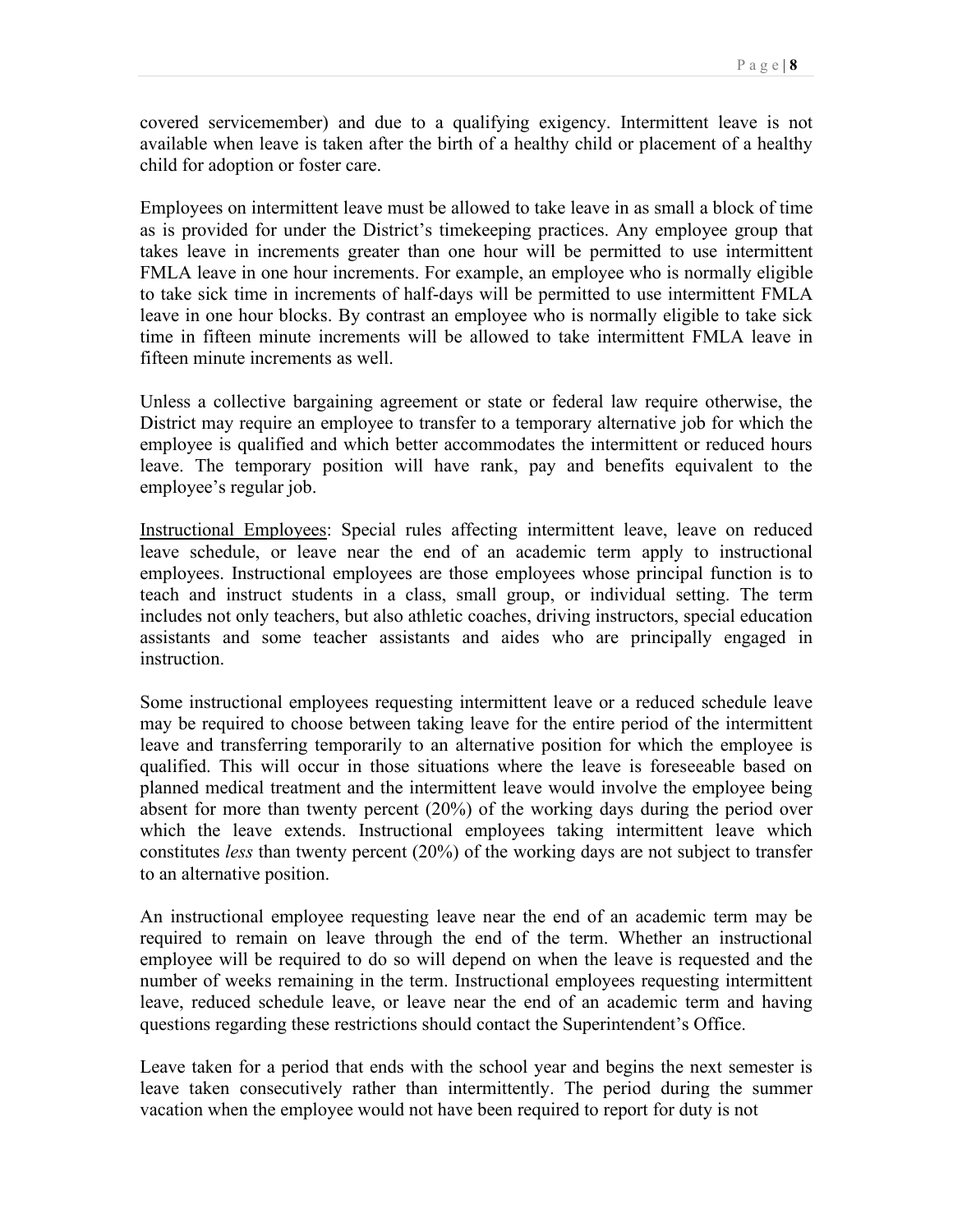covered servicemember) and due to a qualifying exigency. Intermittent leave is not available when leave is taken after the birth of a healthy child or placement of a healthy child for adoption or foster care.

 time in fifteen minute increments will be allowed to take intermittent FMLA leave in Employees on intermittent leave must be allowed to take leave in as small a block of time as is provided for under the District's timekeeping practices. Any employee group that takes leave in increments greater than one hour will be permitted to use intermittent FMLA leave in one hour increments. For example, an employee who is normally eligible to take sick time in increments of half-days will be permitted to use intermittent FMLA leave in one hour blocks. By contrast an employee who is normally eligible to take sick fifteen minute increments as well.

Unless a collective bargaining agreement or state or federal law require otherwise, the District may require an employee to transfer to a temporary alternative job for which the employee is qualified and which better accommodates the intermittent or reduced hours leave. The temporary position will have rank, pay and benefits equivalent to the employee's regular job.

 leave schedule, or leave near the end of an academic term apply to instructional teach and instruct students in a class, small group, or individual setting. The term Instructional Employees: Special rules affecting intermittent leave, leave on reduced employees. Instructional employees are those employees whose principal function is to includes not only teachers, but also athletic coaches, driving instructors, special education assistants and some teacher assistants and aides who are principally engaged in instruction.

Some instructional employees requesting intermittent leave or a reduced schedule leave may be required to choose between taking leave for the entire period of the intermittent leave and transferring temporarily to an alternative position for which the employee is qualified. This will occur in those situations where the leave is foreseeable based on planned medical treatment and the intermittent leave would involve the employee being absent for more than twenty percent (20%) of the working days during the period over which the leave extends. Instructional employees taking intermittent leave which constitutes *less* than twenty percent (20%) of the working days are not subject to transfer to an alternative position.

An instructional employee requesting leave near the end of an academic term may be required to remain on leave through the end of the term. Whether an instructional employee will be required to do so will depend on when the leave is requested and the number of weeks remaining in the term. Instructional employees requesting intermittent leave, reduced schedule leave, or leave near the end of an academic term and having questions regarding these restrictions should contact the Superintendent's Office.

Leave taken for a period that ends with the school year and begins the next semester is leave taken consecutively rather than intermittently. The period during the summer vacation when the employee would not have been required to report for duty is not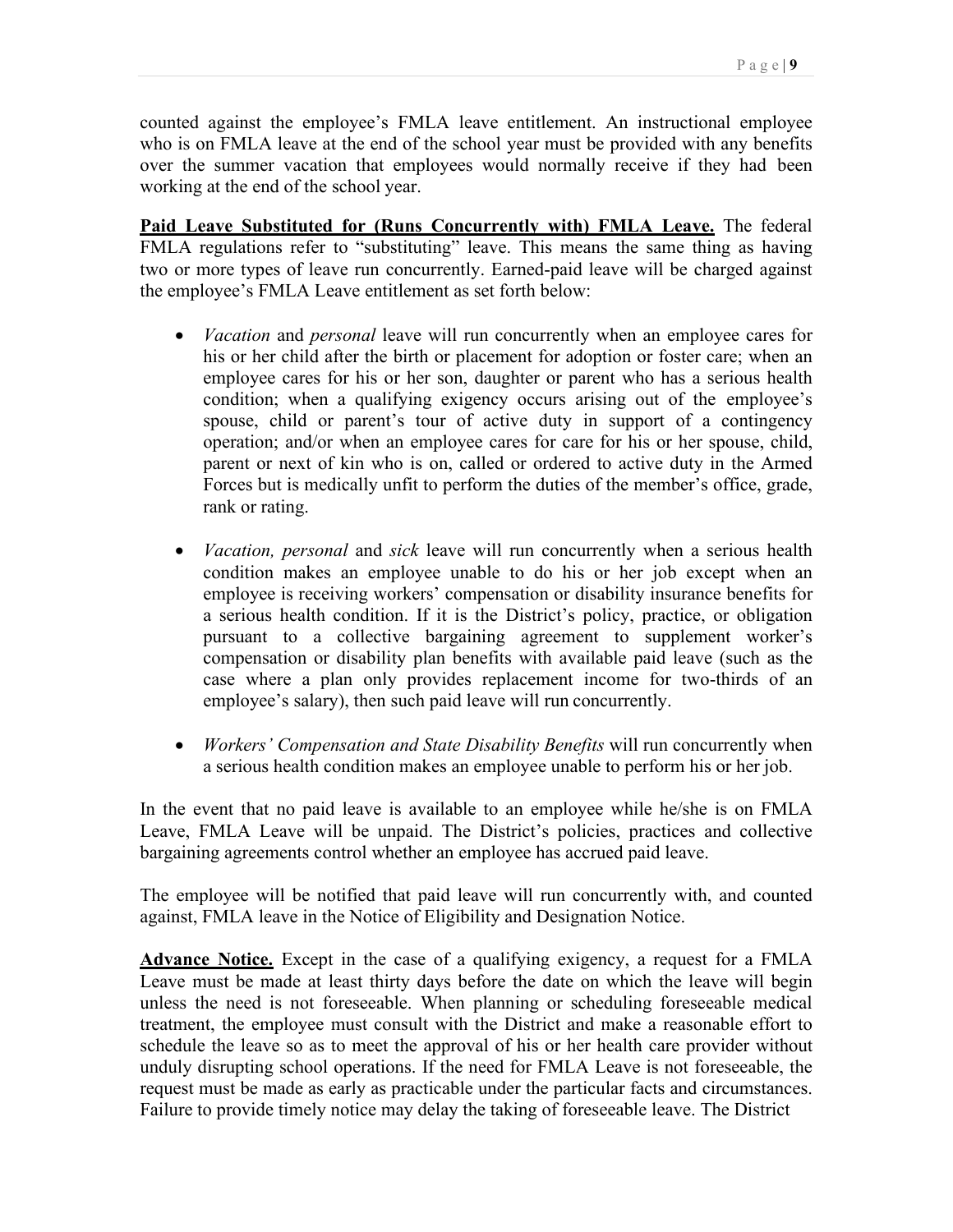counted against the employee's FMLA leave entitlement. An instructional employee working at the end of the school year. who is on FMLA leave at the end of the school year must be provided with any benefits over the summer vacation that employees would normally receive if they had been

FMLA regulations refer to "substituting" leave. This means the same thing as having the employee's FMLA Leave entitlement as set forth below: **Paid Leave Substituted for (Runs Concurrently with) FMLA Leave.** The federal two or more types of leave run concurrently. Earned-paid leave will be charged against

- rank or rating. • *Vacation* and *personal* leave will run concurrently when an employee cares for his or her child after the birth or placement for adoption or foster care; when an employee cares for his or her son, daughter or parent who has a serious health condition; when a qualifying exigency occurs arising out of the employee's spouse, child or parent's tour of active duty in support of a contingency operation; and/or when an employee cares for care for his or her spouse, child, parent or next of kin who is on, called or ordered to active duty in the Armed Forces but is medically unfit to perform the duties of the member's office, grade,
- case where a plan only provides replacement income for two-thirds of an • *Vacation, personal* and *sick* leave will run concurrently when a serious health condition makes an employee unable to do his or her job except when an employee is receiving workers' compensation or disability insurance benefits for a serious health condition. If it is the District's policy, practice, or obligation pursuant to a collective bargaining agreement to supplement worker's compensation or disability plan benefits with available paid leave (such as the employee's salary), then such paid leave will run concurrently.
- a serious health condition makes an employee unable to perform his or her job. • *Workers' Compensation and State Disability Benefits* will run concurrently when

In the event that no paid leave is available to an employee while he/she is on FMLA Leave, FMLA Leave will be unpaid. The District's policies, practices and collective bargaining agreements control whether an employee has accrued paid leave.

The employee will be notified that paid leave will run concurrently with, and counted against, FMLA leave in the Notice of Eligibility and Designation Notice.

**Advance Notice.** Except in the case of a qualifying exigency, a request for a FMLA Leave must be made at least thirty days before the date on which the leave will begin unless the need is not foreseeable. When planning or scheduling foreseeable medical treatment, the employee must consult with the District and make a reasonable effort to schedule the leave so as to meet the approval of his or her health care provider without unduly disrupting school operations. If the need for FMLA Leave is not foreseeable, the request must be made as early as practicable under the particular facts and circumstances. Failure to provide timely notice may delay the taking of foreseeable leave. The District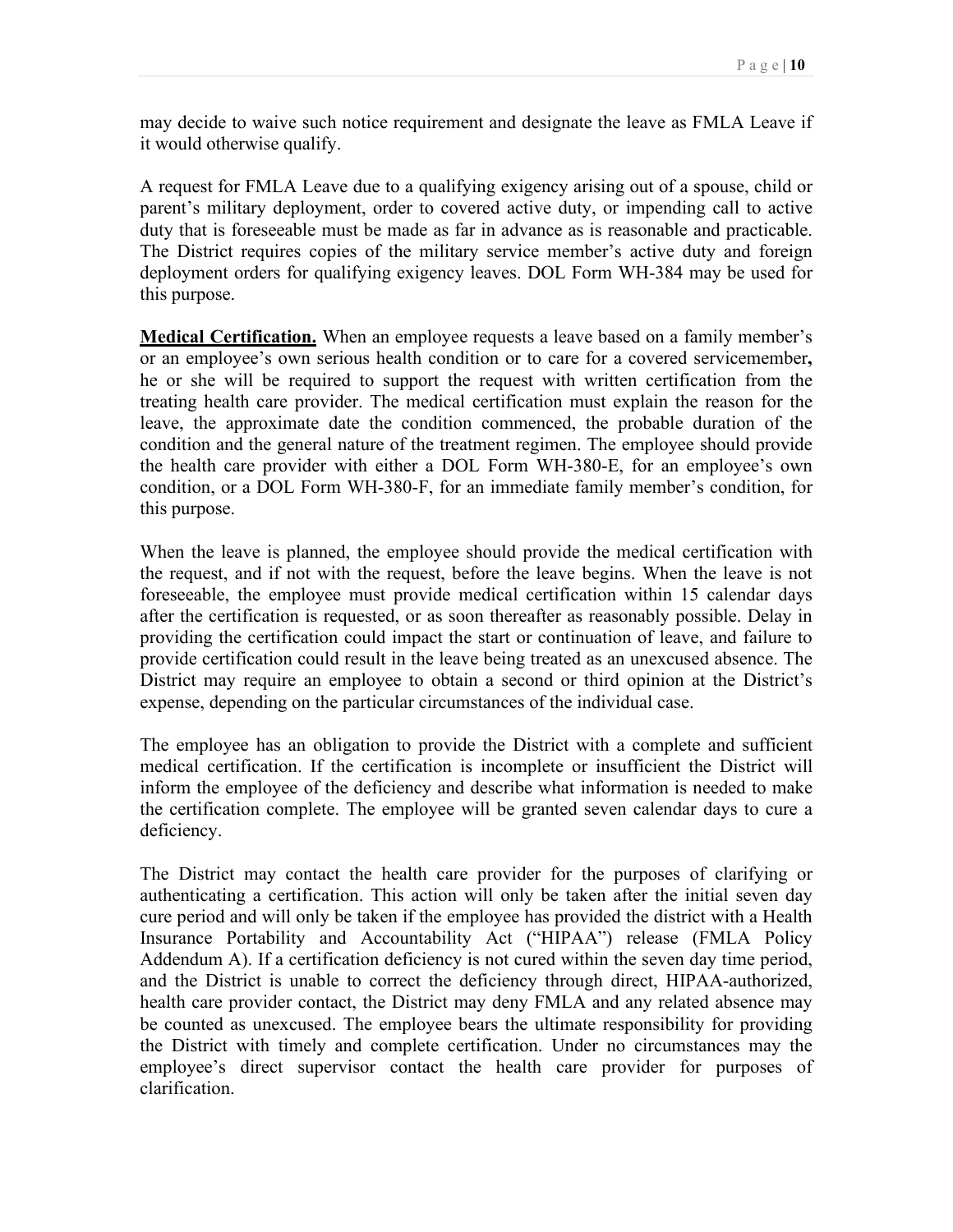may decide to waive such notice requirement and designate the leave as FMLA Leave if it would otherwise qualify.

 A request for FMLA Leave due to a qualifying exigency arising out of a spouse, child or this purpose. parent's military deployment, order to covered active duty, or impending call to active duty that is foreseeable must be made as far in advance as is reasonable and practicable. The District requires copies of the military service member's active duty and foreign deployment orders for qualifying exigency leaves. DOL Form WH-384 may be used for

 or an employee's own serious health condition or to care for a covered servicemember**,**  condition and the general nature of the treatment regimen. The employee should provide this purpose. **Medical Certification.** When an employee requests a leave based on a family member's he or she will be required to support the request with written certification from the treating health care provider. The medical certification must explain the reason for the leave, the approximate date the condition commenced, the probable duration of the the health care provider with either a DOL Form WH-380-E, for an employee's own condition, or a DOL Form WH-380-F, for an immediate family member's condition, for

 expense, depending on the particular circumstances of the individual case. When the leave is planned, the employee should provide the medical certification with the request, and if not with the request, before the leave begins. When the leave is not foreseeable, the employee must provide medical certification within 15 calendar days after the certification is requested, or as soon thereafter as reasonably possible. Delay in providing the certification could impact the start or continuation of leave, and failure to provide certification could result in the leave being treated as an unexcused absence. The District may require an employee to obtain a second or third opinion at the District's

The employee has an obligation to provide the District with a complete and sufficient medical certification. If the certification is incomplete or insufficient the District will inform the employee of the deficiency and describe what information is needed to make the certification complete. The employee will be granted seven calendar days to cure a deficiency.

The District may contact the health care provider for the purposes of clarifying or authenticating a certification. This action will only be taken after the initial seven day cure period and will only be taken if the employee has provided the district with a Health Insurance Portability and Accountability Act ("HIPAA") release (FMLA Policy Addendum A). If a certification deficiency is not cured within the seven day time period, and the District is unable to correct the deficiency through direct, HIPAA-authorized, health care provider contact, the District may deny FMLA and any related absence may be counted as unexcused. The employee bears the ultimate responsibility for providing the District with timely and complete certification. Under no circumstances may the employee's direct supervisor contact the health care provider for purposes of clarification.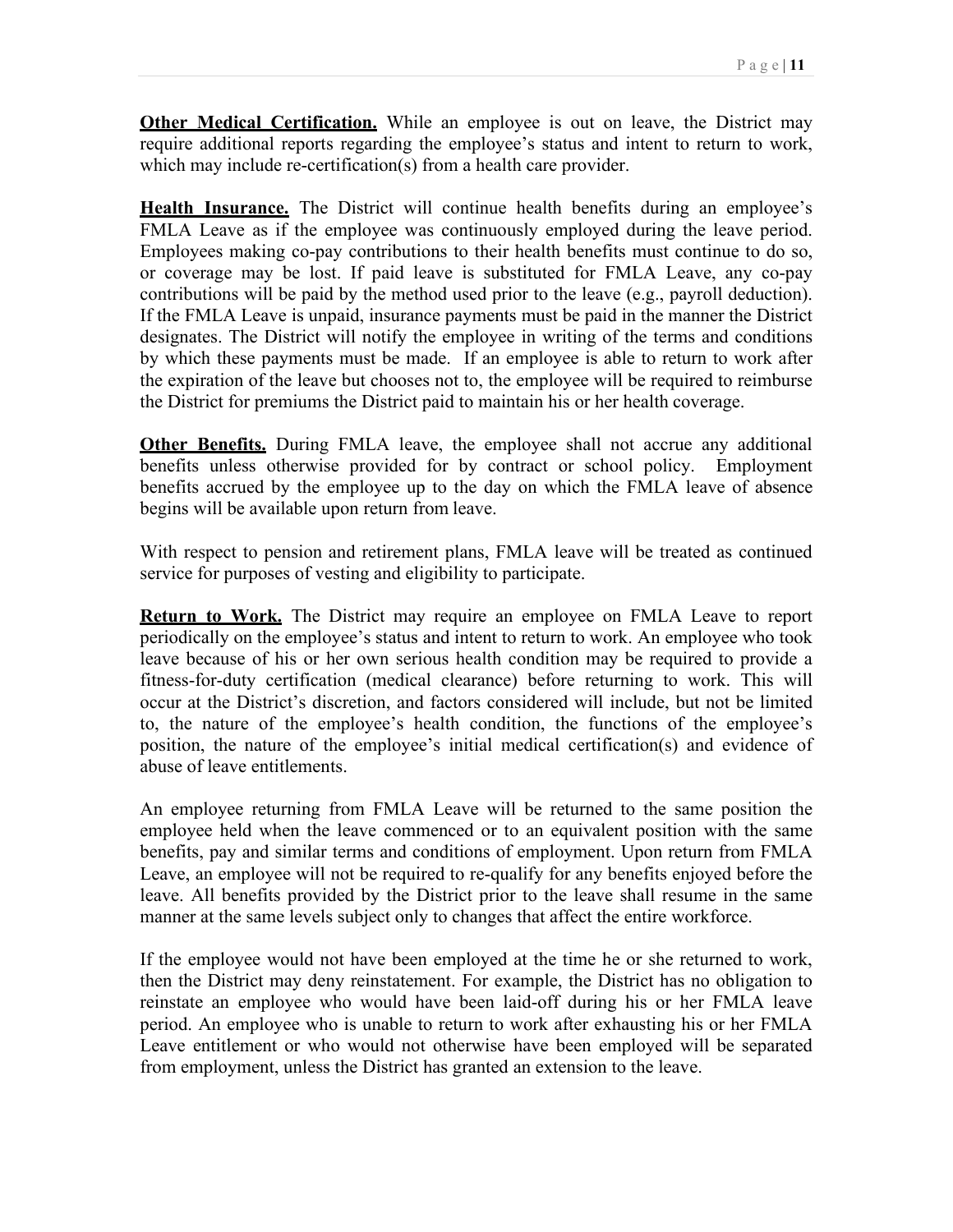**Other Medical Certification.** While an employee is out on leave, the District may require additional reports regarding the employee's status and intent to return to work, which may include re-certification(s) from a health care provider.

 If the FMLA Leave is unpaid, insurance payments must be paid in the manner the District designates. The District will notify the employee in writing of the terms and conditions by which these payments must be made. If an employee is able to return to work after the District for premiums the District paid to maintain his or her health coverage. **Health Insurance.** The District will continue health benefits during an employee's FMLA Leave as if the employee was continuously employed during the leave period. Employees making co-pay contributions to their health benefits must continue to do so, or coverage may be lost. If paid leave is substituted for FMLA Leave, any co-pay contributions will be paid by the method used prior to the leave (e.g., payroll deduction). the expiration of the leave but chooses not to, the employee will be required to reimburse

 begins will be available upon return from leave. **Other Benefits.** During FMLA leave, the employee shall not accrue any additional benefits unless otherwise provided for by contract or school policy. Employment benefits accrued by the employee up to the day on which the FMLA leave of absence

With respect to pension and retirement plans, FMLA leave will be treated as continued service for purposes of vesting and eligibility to participate.

 fitness-for-duty certification (medical clearance) before returning to work. This will **Return to Work.** The District may require an employee on FMLA Leave to report periodically on the employee's status and intent to return to work. An employee who took leave because of his or her own serious health condition may be required to provide a occur at the District's discretion, and factors considered will include, but not be limited to, the nature of the employee's health condition, the functions of the employee's position, the nature of the employee's initial medical certification(s) and evidence of abuse of leave entitlements.

An employee returning from FMLA Leave will be returned to the same position the employee held when the leave commenced or to an equivalent position with the same benefits, pay and similar terms and conditions of employment. Upon return from FMLA Leave, an employee will not be required to re-qualify for any benefits enjoyed before the leave. All benefits provided by the District prior to the leave shall resume in the same manner at the same levels subject only to changes that affect the entire workforce.

 period. An employee who is unable to return to work after exhausting his or her FMLA If the employee would not have been employed at the time he or she returned to work, then the District may deny reinstatement. For example, the District has no obligation to reinstate an employee who would have been laid-off during his or her FMLA leave Leave entitlement or who would not otherwise have been employed will be separated from employment, unless the District has granted an extension to the leave.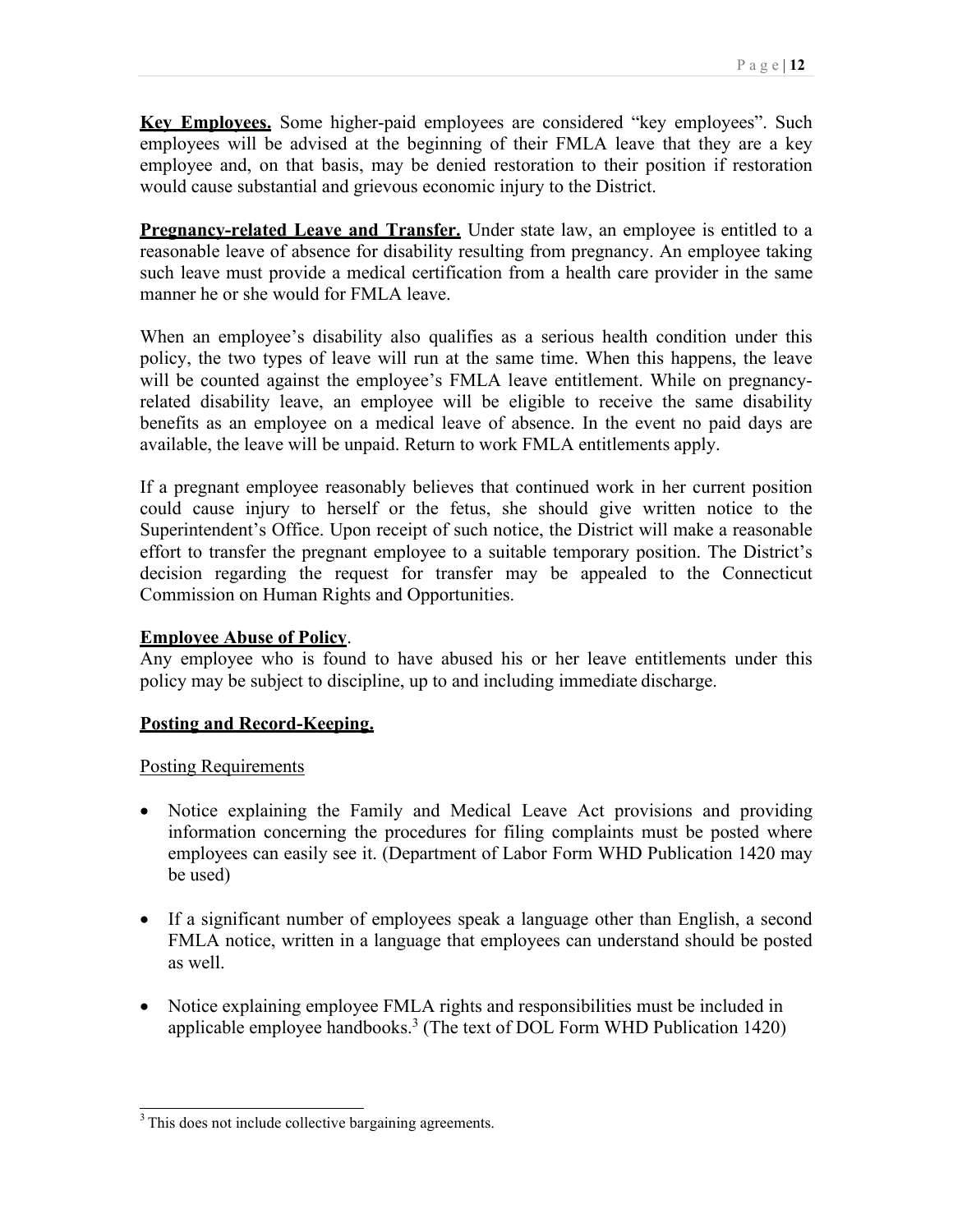**Key Employees.** Some higher-paid employees are considered "key employees". Such employees will be advised at the beginning of their FMLA leave that they are a key employee and, on that basis, may be denied restoration to their position if restoration would cause substantial and grievous economic injury to the District.

**Pregnancy-related Leave and Transfer.** Under state law, an employee is entitled to a reasonable leave of absence for disability resulting from pregnancy. An employee taking such leave must provide a medical certification from a health care provider in the same manner he or she would for FMLA leave.

policy, the two types of leave will run at the same time. When this happens, the leave available, the leave will be unpaid. Return to work FMLA entitlements apply. When an employee's disability also qualifies as a serious health condition under this will be counted against the employee's FMLA leave entitlement. While on pregnancyrelated disability leave, an employee will be eligible to receive the same disability benefits as an employee on a medical leave of absence. In the event no paid days are

If a pregnant employee reasonably believes that continued work in her current position could cause injury to herself or the fetus, she should give written notice to the Superintendent's Office. Upon receipt of such notice, the District will make a reasonable effort to transfer the pregnant employee to a suitable temporary position. The District's decision regarding the request for transfer may be appealed to the Connecticut Commission on Human Rights and Opportunities.

### **Employee Abuse of Policy**.

 policy may be subject to discipline, up to and including immediate discharge. Any employee who is found to have abused his or her leave entitlements under this

## **Posting and Record-Keeping.**

### Posting Requirements

- be used) • Notice explaining the Family and Medical Leave Act provisions and providing information concerning the procedures for filing complaints must be posted where employees can easily see it. (Department of Labor Form WHD Publication 1420 may
- as well. • If a significant number of employees speak a language other than English, a second FMLA notice, written in a language that employees can understand should be posted
- applicable employee handbooks.<sup>3</sup> (The text of DOL Form WHD Publication 1420) • Notice explaining employee FMLA rights and responsibilities must be included in

<sup>&</sup>lt;sup>3</sup> This does not include collective bargaining agreements.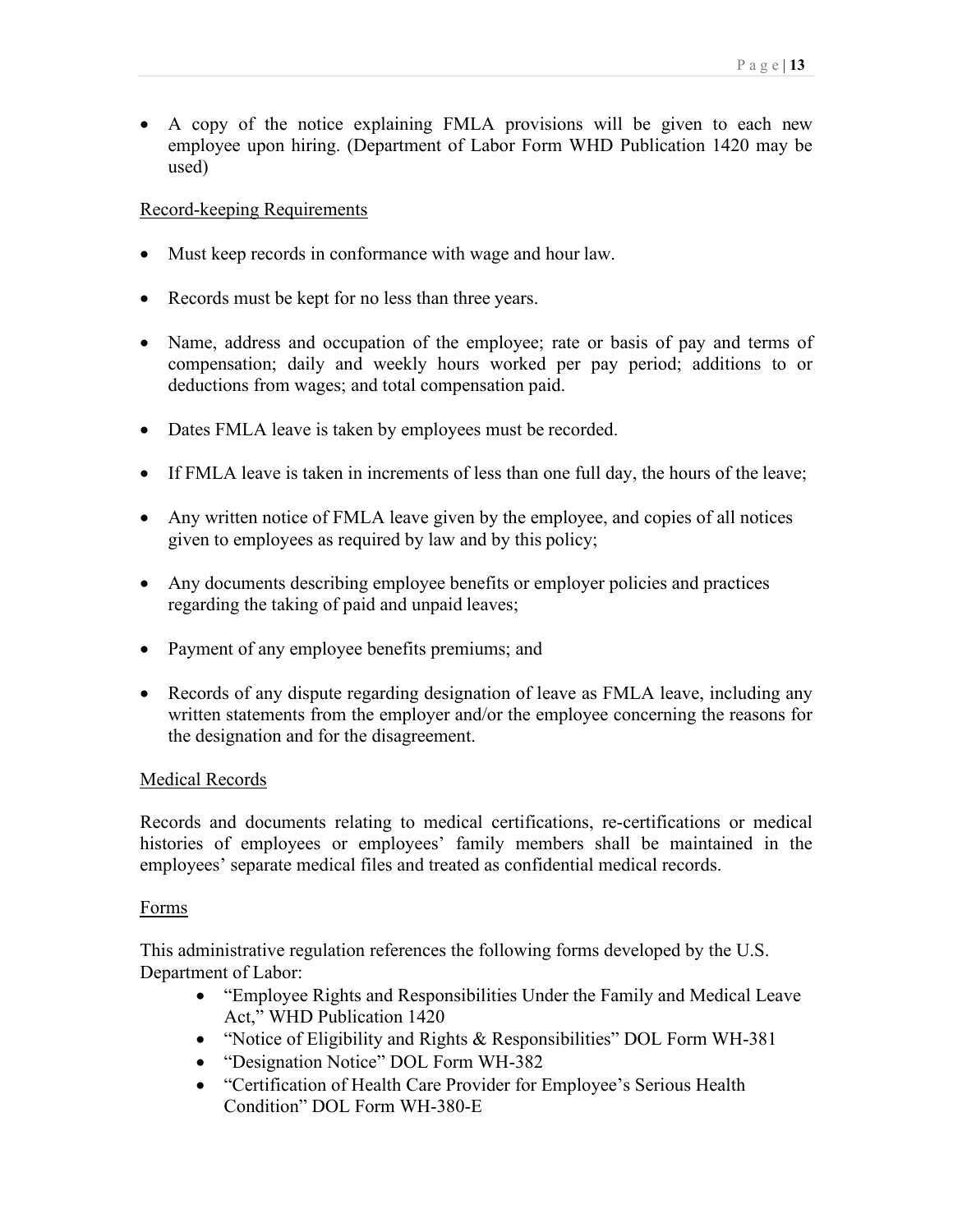• A copy of the notice explaining FMLA provisions will be given to each new employee upon hiring. (Department of Labor Form WHD Publication 1420 may be used)

### Record-keeping Requirements

- Must keep records in conformance with wage and hour law.
- Records must be kept for no less than three years.
- deductions from wages; and total compensation paid. • Name, address and occupation of the employee; rate or basis of pay and terms of compensation; daily and weekly hours worked per pay period; additions to or
- Dates FMLA leave is taken by employees must be recorded.
- If FMLA leave is taken in increments of less than one full day, the hours of the leave;
- • Any written notice of FMLA leave given by the employee, and copies of all notices given to employees as required by law and by this policy;
- regarding the taking of paid and unpaid leaves; • Any documents describing employee benefits or employer policies and practices
- Payment of any employee benefits premiums; and
- Records of any dispute regarding designation of leave as FMLA leave, including any written statements from the employer and/or the employee concerning the reasons for the designation and for the disagreement.

### Medical Records

Records and documents relating to medical certifications, re-certifications or medical histories of employees or employees' family members shall be maintained in the employees' separate medical files and treated as confidential medical records.

### Forms

This administrative regulation references the following forms developed by the U.S. Department of Labor:

- Act," WHD Publication 1420 • "Employee Rights and Responsibilities Under the Family and Medical Leave
- "Notice of Eligibility and Rights & Responsibilities" DOL Form WH-381
- "Designation Notice" DOL Form WH-382
- Condition" DOL Form WH-380-E • "Certification of Health Care Provider for Employee's Serious Health